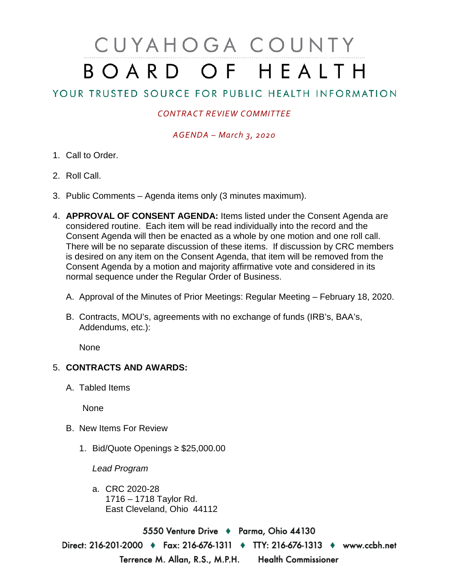# CUYAHOGA COUNTY BOARD OF HEALTH

## YOUR TRUSTED SOURCE FOR PUBLIC HEALTH INFORMATION

#### *CONTRACT REVIEW COMMITTEE*

#### *AGENDA – March 3, 2020*

- 1. Call to Order.
- 2. Roll Call.
- 3. Public Comments Agenda items only (3 minutes maximum).
- 4. **APPROVAL OF CONSENT AGENDA:** Items listed under the Consent Agenda are considered routine. Each item will be read individually into the record and the Consent Agenda will then be enacted as a whole by one motion and one roll call. There will be no separate discussion of these items. If discussion by CRC members is desired on any item on the Consent Agenda, that item will be removed from the Consent Agenda by a motion and majority affirmative vote and considered in its normal sequence under the Regular Order of Business.
	- A. Approval of the Minutes of Prior Meetings: Regular Meeting February 18, 2020.
	- B. Contracts, MOU's, agreements with no exchange of funds (IRB's, BAA's, Addendums, etc.):

None

### 5. **CONTRACTS AND AWARDS:**

A. Tabled Items

None

- B. New Items For Review
	- 1. Bid/Quote Openings ≥ \$25,000.00

*Lead Program*

a. CRC 2020-28 1716 – 1718 Taylor Rd. East Cleveland, Ohio 44112

5550 Venture Drive + Parma, Ohio 44130 Direct: 216-201-2000 • Fax: 216-676-1311 • TTY: 216-676-1313 • www.ccbh.net Terrence M. Allan, R.S., M.P.H. Health Commissioner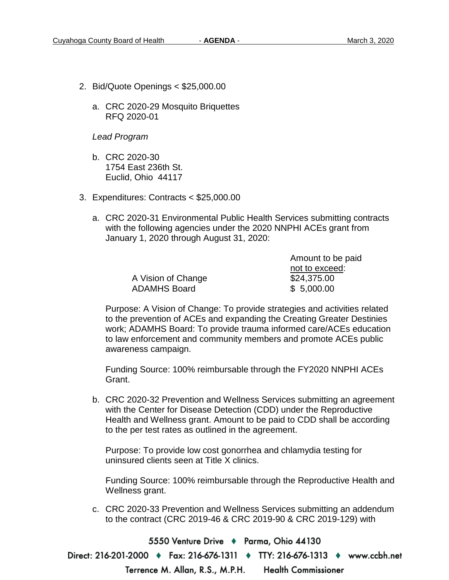- 2. Bid/Quote Openings < \$25,000.00
	- a. CRC 2020-29 Mosquito Briquettes RFQ 2020-01

*Lead Program* 

- b. CRC 2020-30 1754 East 236th St. Euclid, Ohio 44117
- 3. Expenditures: Contracts < \$25,000.00
	- a. CRC 2020-31 Environmental Public Health Services submitting contracts with the following agencies under the 2020 NNPHI ACEs grant from January 1, 2020 through August 31, 2020:

| Amount to be paid |
|-------------------|
| not to exceed:    |
| \$24,375.00       |
| \$5,000.00        |
|                   |

Purpose: A Vision of Change: To provide strategies and activities related to the prevention of ACEs and expanding the Creating Greater Destinies work; ADAMHS Board: To provide trauma informed care/ACEs education to law enforcement and community members and promote ACEs public awareness campaign.

Funding Source: 100% reimbursable through the FY2020 NNPHI ACEs Grant.

b. CRC 2020-32 Prevention and Wellness Services submitting an agreement with the Center for Disease Detection (CDD) under the Reproductive Health and Wellness grant. Amount to be paid to CDD shall be according to the per test rates as outlined in the agreement.

Purpose: To provide low cost gonorrhea and chlamydia testing for uninsured clients seen at Title X clinics.

Funding Source: 100% reimbursable through the Reproductive Health and Wellness grant.

c. CRC 2020-33 Prevention and Wellness Services submitting an addendum to the contract (CRC 2019-46 & CRC 2019-90 & CRC 2019-129) with

5550 Venture Drive + Parma, Ohio 44130 Direct: 216-201-2000 ♦ Fax: 216-676-1311 ♦ TTY: 216-676-1313 ♦ www.ccbh.net **Health Commissioner** Terrence M. Allan, R.S., M.P.H.